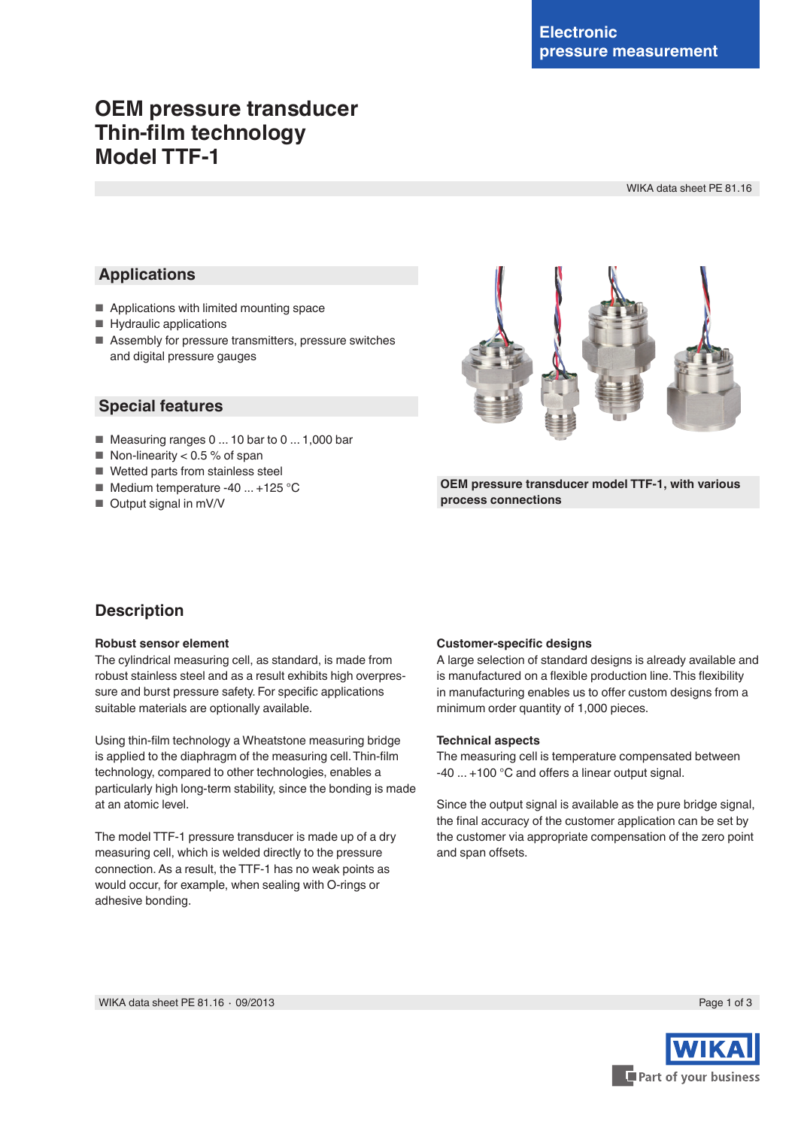# **OEM pressure transducer Thin-film technology Model TTF-1**

WIKA data sheet PE 81.16

# **Applications**

- Applications with limited mounting space
- Hydraulic applications
- Assembly for pressure transmitters, pressure switches and digital pressure gauges



- Measuring ranges 0 ... 10 bar to 0 ... 1,000 bar
- $\blacksquare$  Non-linearity < 0.5 % of span
- Wetted parts from stainless steel
- Medium temperature -40 ... +125 °C
- Output signal in mV/V



**OEM pressure transducer model TTF-1, with various process connections**

# **Description**

## **Robust sensor element**

The cylindrical measuring cell, as standard, is made from robust stainless steel and as a result exhibits high overpressure and burst pressure safety. For specific applications suitable materials are optionally available.

Using thin-film technology a Wheatstone measuring bridge is applied to the diaphragm of the measuring cell. Thin-film technology, compared to other technologies, enables a particularly high long-term stability, since the bonding is made at an atomic level.

The model TTF-1 pressure transducer is made up of a dry measuring cell, which is welded directly to the pressure connection. As a result, the TTF-1 has no weak points as would occur, for example, when sealing with O-rings or adhesive bonding.

## **Customer-specific designs**

A large selection of standard designs is already available and is manufactured on a flexible production line. This flexibility in manufacturing enables us to offer custom designs from a minimum order quantity of 1,000 pieces.

## **Technical aspects**

The measuring cell is temperature compensated between -40 ... +100 °C and offers a linear output signal.

Since the output signal is available as the pure bridge signal. the final accuracy of the customer application can be set by the customer via appropriate compensation of the zero point and span offsets.

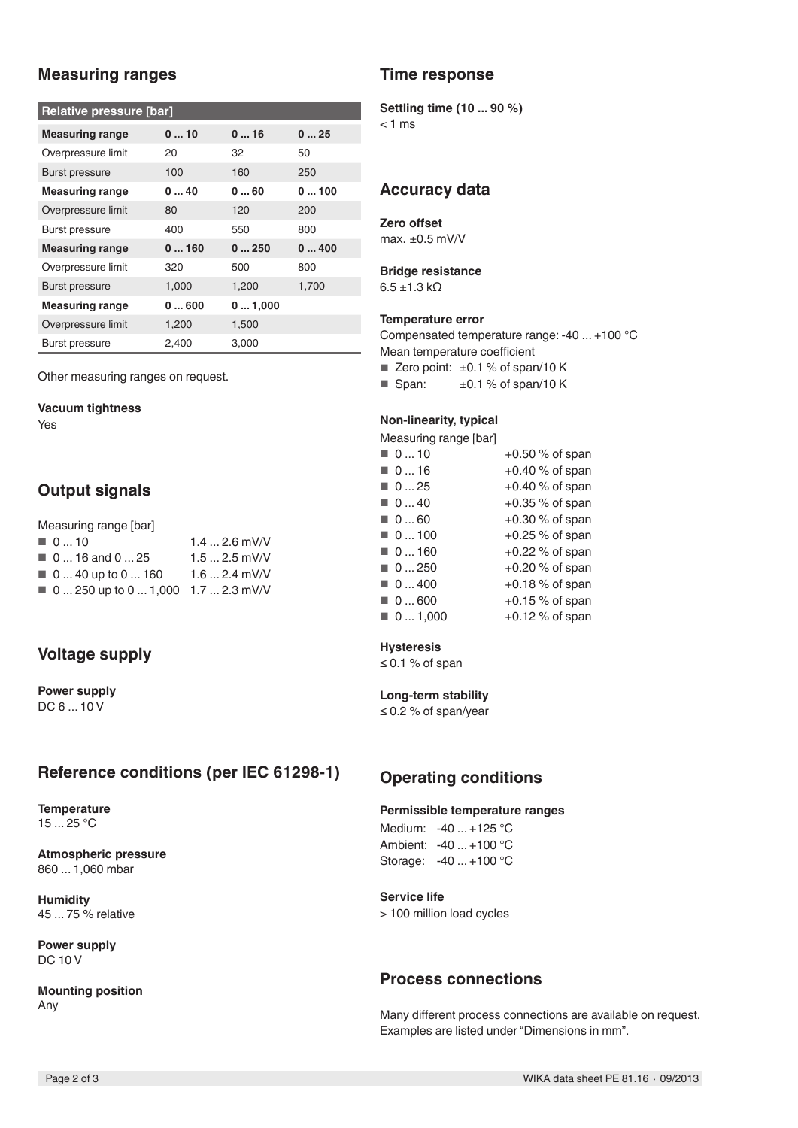# **Measuring ranges**

| Relative pressure [bar] |       |        |       |  |  |  |  |
|-------------------------|-------|--------|-------|--|--|--|--|
| <b>Measuring range</b>  | 010   | 016    | 025   |  |  |  |  |
| Overpressure limit      | 20    | 32     | 50    |  |  |  |  |
| <b>Burst pressure</b>   | 100   | 160    | 250   |  |  |  |  |
| <b>Measuring range</b>  | 040   | 060    | 0100  |  |  |  |  |
| Overpressure limit      | 80    | 120    | 200   |  |  |  |  |
| Burst pressure          | 400   | 550    | 800   |  |  |  |  |
| <b>Measuring range</b>  | 0160  | 0250   | 0400  |  |  |  |  |
| Overpressure limit      | 320   | 500    | 800   |  |  |  |  |
| <b>Burst pressure</b>   | 1,000 | 1,200  | 1,700 |  |  |  |  |
| <b>Measuring range</b>  | 0600  | 01,000 |       |  |  |  |  |
| Overpressure limit      | 1,200 | 1,500  |       |  |  |  |  |
| Burst pressure          | 2,400 | 3,000  |       |  |  |  |  |

Other measuring ranges on request.

#### **Vacuum tightness**

Yes

# **Output signals**

| Measuring range [bar]                              |               |
|----------------------------------------------------|---------------|
| $\blacksquare$ 010                                 | $1.42.6$ mV/V |
| $\blacksquare$ 0  16 and 0  25                     | $1.52.5$ mV/V |
| $\blacksquare$ 0  40 up to 0  160                  | $1.62.4$ mV/V |
| $\blacksquare$ 0  250 up to 0  1,000 1.7  2.3 mV/V |               |

# **Voltage supply**

**Power supply** DC 6 ... 10 V

# **Reference conditions (per IEC 61298-1)**

**Temperature** 15 ... 25 °C

**Atmospheric pressure** 860 ... 1,060 mbar

**Humidity** 45 ... 75 % relative

**Power supply** DC 10 V

**Mounting position** Any

# **Time response**

#### **Settling time (10 ... 90 %)**

 $< 1$  ms

## **Accuracy data**

## **Zero offset**

max. ±0.5 mV/V

# **Bridge resistance**

 $6.5 \pm 1.3 \text{ k}\Omega$ 

#### **Temperature error**

Compensated temperature range: -40 ... +100 °C Mean temperature coefficient

E Zero point:  $\pm 0.1$  % of span/10 K

**B** Span:  $\pm 0.1$  % of span/10 K

## **Non-linearity, typical**

Measuring range [bar]

| $+0.50$ % of span |
|-------------------|
| $+0.40$ % of span |
| $+0.40$ % of span |
| $+0.35$ % of span |
| $+0.30\%$ of span |
| $+0.25\%$ of span |
| $+0.22$ % of span |
| $+0.20$ % of span |
| $+0.18\%$ of span |
| $+0.15\%$ of span |
| $+0.12$ % of span |
|                   |

## **Hysteresis**

≤ 0.1 % of span

## **Long-term stability**

≤ 0.2 % of span/year

## **Operating conditions**

#### **Permissible temperature ranges**

Medium: -40 ... +125 °C Ambient: -40 ... +100 °C Storage: -40 ... +100 °C

### **Service life**

> 100 million load cycles

## **Process connections**

Many different process connections are available on request. Examples are listed under "Dimensions in mm".